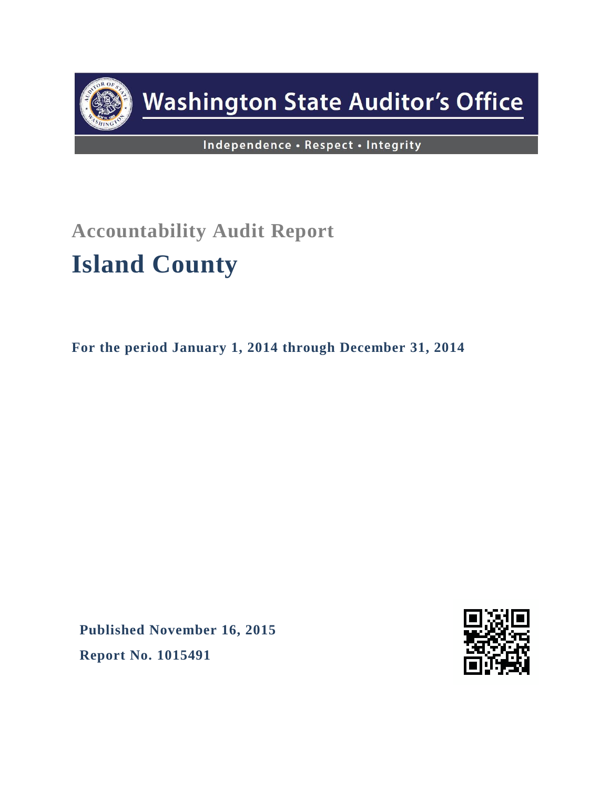

# **Washington State Auditor's Office**

Independence · Respect · Integrity

# **Accountability Audit Report Island County**

**For the period January 1, 2014 through December 31, 2014**

**Published November 16, 2015 Report No. 1015491**

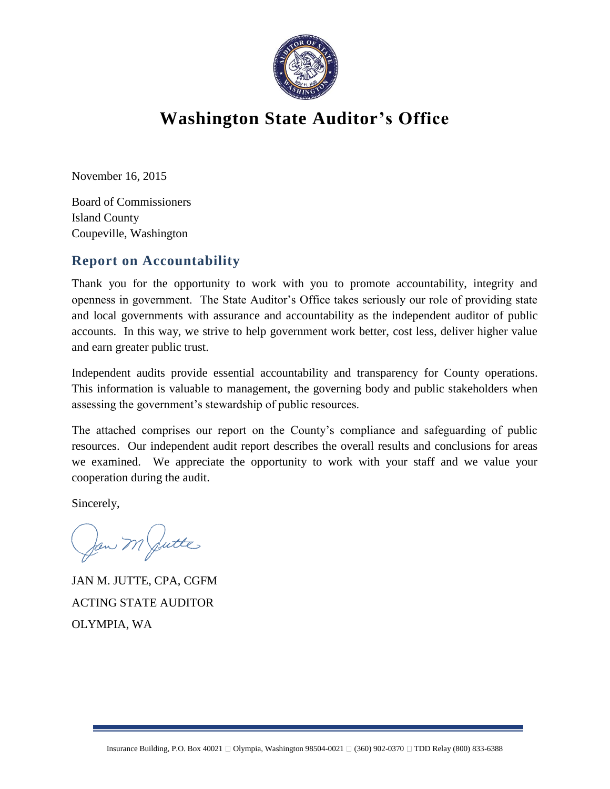

# **Washington State Auditor's Office**

November 16, 2015

Board of Commissioners Island County Coupeville, Washington

#### **Report on Accountability**

Thank you for the opportunity to work with you to promote accountability, integrity and openness in government. The State Auditor's Office takes seriously our role of providing state and local governments with assurance and accountability as the independent auditor of public accounts. In this way, we strive to help government work better, cost less, deliver higher value and earn greater public trust.

Independent audits provide essential accountability and transparency for County operations. This information is valuable to management, the governing body and public stakeholders when assessing the government's stewardship of public resources.

The attached comprises our report on the County's compliance and safeguarding of public resources. Our independent audit report describes the overall results and conclusions for areas we examined. We appreciate the opportunity to work with your staff and we value your cooperation during the audit.

Sincerely,

Jan M Jutte

JAN M. JUTTE, CPA, CGFM ACTING STATE AUDITOR OLYMPIA, WA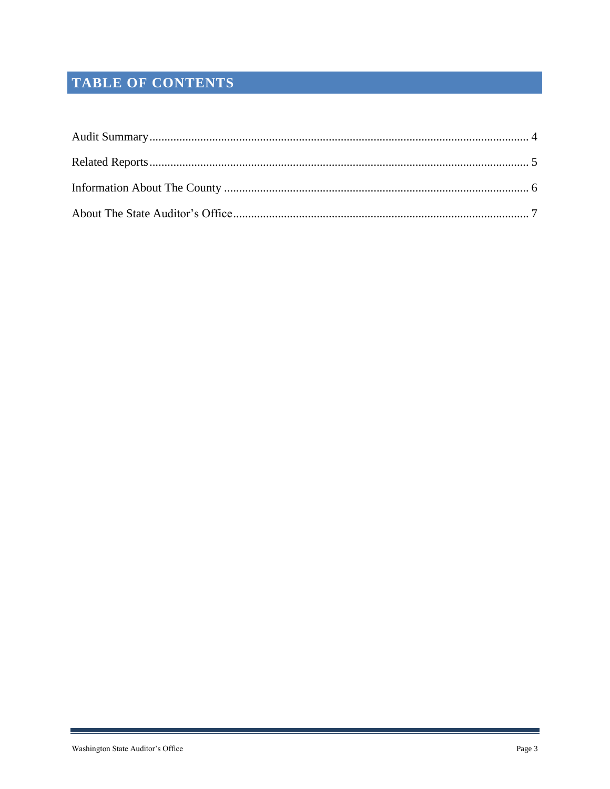# TABLE OF CONTENTS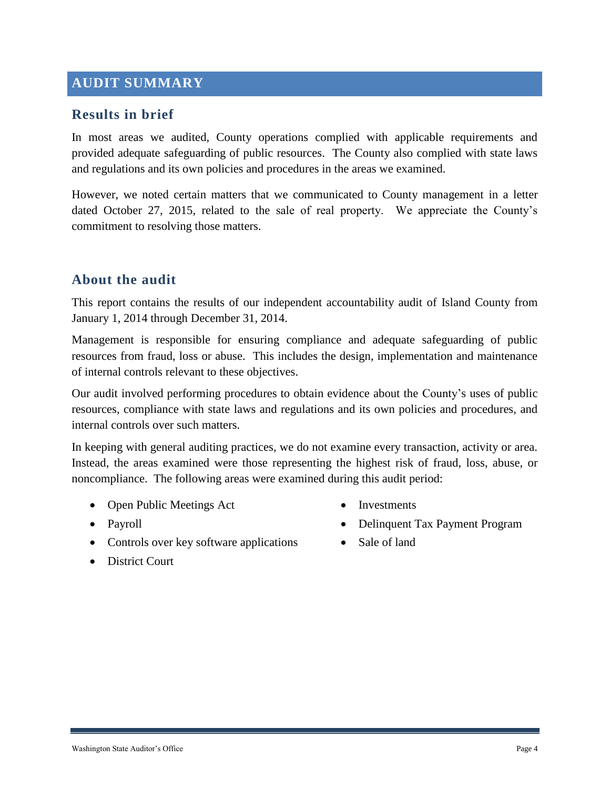### <span id="page-3-0"></span>**AUDIT SUMMARY**

#### **Results in brief**

In most areas we audited, County operations complied with applicable requirements and provided adequate safeguarding of public resources. The County also complied with state laws and regulations and its own policies and procedures in the areas we examined.

However, we noted certain matters that we communicated to County management in a letter dated October 27, 2015, related to the sale of real property. We appreciate the County's commitment to resolving those matters.

#### **About the audit**

This report contains the results of our independent accountability audit of Island County from January 1, 2014 through December 31, 2014.

Management is responsible for ensuring compliance and adequate safeguarding of public resources from fraud, loss or abuse. This includes the design, implementation and maintenance of internal controls relevant to these objectives.

Our audit involved performing procedures to obtain evidence about the County's uses of public resources, compliance with state laws and regulations and its own policies and procedures, and internal controls over such matters.

In keeping with general auditing practices, we do not examine every transaction, activity or area. Instead, the areas examined were those representing the highest risk of fraud, loss, abuse, or noncompliance. The following areas were examined during this audit period:

- Open Public Meetings Act
- Payroll
- Controls over key software applications
- Delinquent Tax Payment Program
- Sale of land

• Investments

• District Court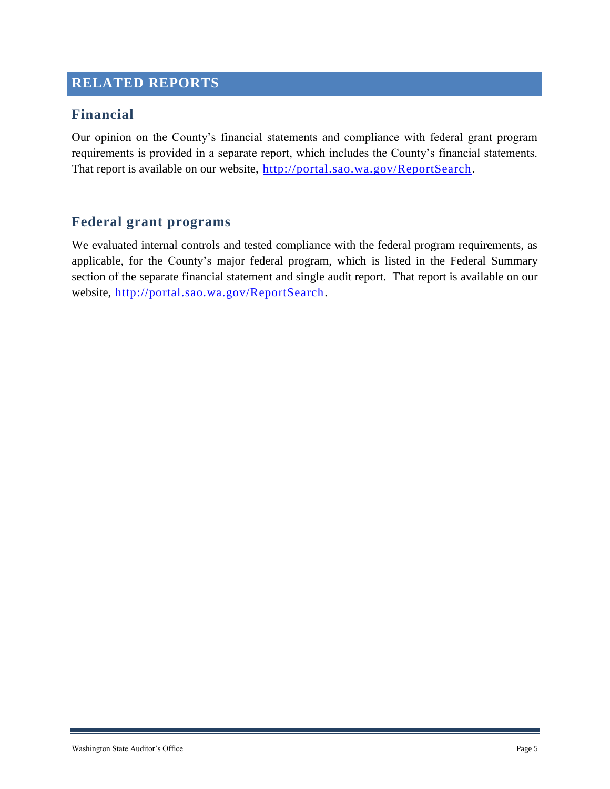## <span id="page-4-0"></span>**RELATED REPORTS**

#### **Financial**

Our opinion on the County's financial statements and compliance with federal grant program requirements is provided in a separate report, which includes the County's financial statements. That report is available on our website, [http://portal.sao.wa.gov/ReportSearch.](http://portal.sao.wa.gov/ReportSearch/?qItemType=1&qItemDesc=Island%20County&qItemValue=0123)

#### **Federal grant programs**

We evaluated internal controls and tested compliance with the federal program requirements, as applicable, for the County's major federal program, which is listed in the Federal Summary section of the separate financial statement and single audit report. That report is available on our website, [http://portal.sao.wa.gov/ReportSearch.](http://portal.sao.wa.gov/ReportSearch/?qItemType=1&qItemDesc=Island%20County&qItemValue=0123)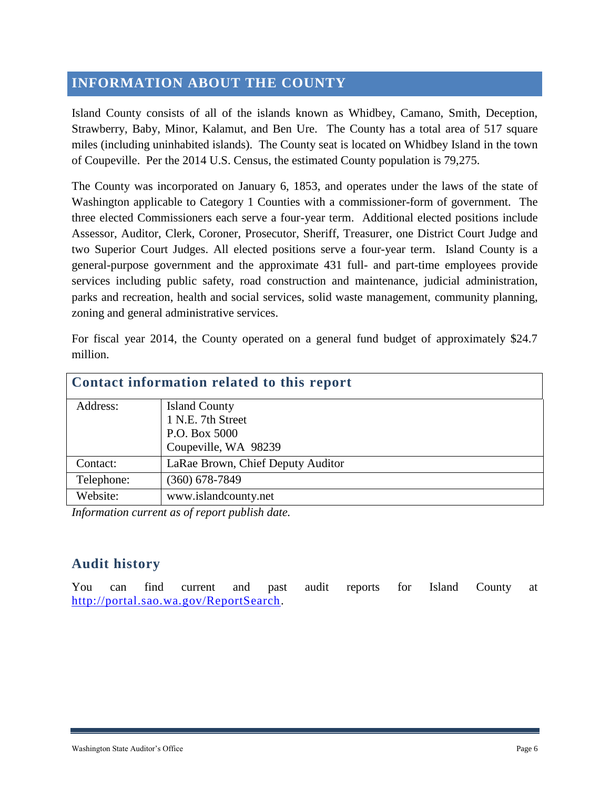### <span id="page-5-0"></span>**INFORMATION ABOUT THE COUNTY**

Island County consists of all of the islands known as Whidbey, Camano, Smith, Deception, Strawberry, Baby, Minor, Kalamut, and Ben Ure. The County has a total area of 517 square miles (including uninhabited islands). The County seat is located on Whidbey Island in the town of Coupeville. Per the 2014 U.S. Census, the estimated County population is 79,275.

The County was incorporated on January 6, 1853, and operates under the laws of the state of Washington applicable to Category 1 Counties with a commissioner-form of government. The three elected Commissioners each serve a four-year term. Additional elected positions include Assessor, Auditor, Clerk, Coroner, Prosecutor, Sheriff, Treasurer, one District Court Judge and two Superior Court Judges. All elected positions serve a four-year term. Island County is a general-purpose government and the approximate 431 full- and part-time employees provide services including public safety, road construction and maintenance, judicial administration, parks and recreation, health and social services, solid waste management, community planning, zoning and general administrative services.

For fiscal year 2014, the County operated on a general fund budget of approximately \$24.7 million.

| Contact information related to this report |                                   |  |  |
|--------------------------------------------|-----------------------------------|--|--|
| Address:                                   | <b>Island County</b>              |  |  |
|                                            | 1 N.E. 7th Street                 |  |  |
|                                            | P.O. Box 5000                     |  |  |
|                                            | Coupeville, WA 98239              |  |  |
| Contact:                                   | LaRae Brown, Chief Deputy Auditor |  |  |
| Telephone:                                 | $(360) 678 - 7849$                |  |  |
| Website:                                   | www.islandcounty.net              |  |  |

*Information current as of report publish date.*

## **Audit history**

You can find current and past audit reports for Island County at [http://portal.sao.wa.gov/ReportSearch.](http://portal.sao.wa.gov/ReportSearch/?qItemType=1&qItemDesc=Island%20County&qItemValue=0123)